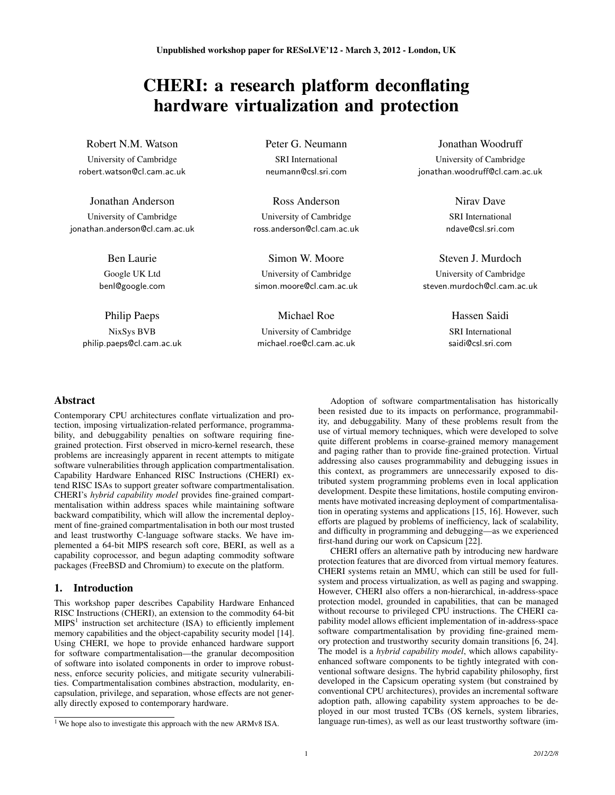# CHERI: a research platform deconflating hardware virtualization and protection

# Robert N.M. Watson

University of Cambridge robert.watson@cl.cam.ac.uk

# Jonathan Anderson

University of Cambridge jonathan.anderson@cl.cam.ac.uk

> Ben Laurie Google UK Ltd benl@google.com

Philip Paeps NixSys BVB philip.paeps@cl.cam.ac.uk Peter G. Neumann SRI International neumann@csl.sri.com

Ross Anderson University of Cambridge ross.anderson@cl.cam.ac.uk

Simon W. Moore University of Cambridge simon.moore@cl.cam.ac.uk

Michael Roe University of Cambridge michael.roe@cl.cam.ac.uk Jonathan Woodruff

University of Cambridge jonathan.woodruff@cl.cam.ac.uk

> Nirav Dave SRI International ndave@csl.sri.com

# Steven J. Murdoch University of Cambridge steven.murdoch@cl.cam.ac.uk

Hassen Saidi SRI International saidi@csl.sri.com

# Abstract

Contemporary CPU architectures conflate virtualization and protection, imposing virtualization-related performance, programmability, and debuggability penalties on software requiring finegrained protection. First observed in micro-kernel research, these problems are increasingly apparent in recent attempts to mitigate software vulnerabilities through application compartmentalisation. Capability Hardware Enhanced RISC Instructions (CHERI) extend RISC ISAs to support greater software compartmentalisation. CHERI's *hybrid capability model* provides fine-grained compartmentalisation within address spaces while maintaining software backward compatibility, which will allow the incremental deployment of fine-grained compartmentalisation in both our most trusted and least trustworthy C-language software stacks. We have implemented a 64-bit MIPS research soft core, BERI, as well as a capability coprocessor, and begun adapting commodity software packages (FreeBSD and Chromium) to execute on the platform.

# 1. Introduction

This workshop paper describes Capability Hardware Enhanced RISC Instructions (CHERI), an extension to the commodity 64-bit  $MIPS<sup>1</sup>$  instruction set architecture (ISA) to efficiently implement memory capabilities and the object-capability security model [14]. Using CHERI, we hope to provide enhanced hardware support for software compartmentalisation—the granular decomposition of software into isolated components in order to improve robustness, enforce security policies, and mitigate security vulnerabilities. Compartmentalisation combines abstraction, modularity, encapsulation, privilege, and separation, whose effects are not generally directly exposed to contemporary hardware.

Adoption of software compartmentalisation has historically been resisted due to its impacts on performance, programmability, and debuggability. Many of these problems result from the use of virtual memory techniques, which were developed to solve quite different problems in coarse-grained memory management and paging rather than to provide fine-grained protection. Virtual addressing also causes programmability and debugging issues in this context, as programmers are unnecessarily exposed to distributed system programming problems even in local application development. Despite these limitations, hostile computing environments have motivated increasing deployment of compartmentalisation in operating systems and applications [15, 16]. However, such efforts are plagued by problems of inefficiency, lack of scalability, and difficulty in programming and debugging—as we experienced first-hand during our work on Capsicum [22].

CHERI offers an alternative path by introducing new hardware protection features that are divorced from virtual memory features. CHERI systems retain an MMU, which can still be used for fullsystem and process virtualization, as well as paging and swapping. However, CHERI also offers a non-hierarchical, in-address-space protection model, grounded in capabilities, that can be managed without recourse to privileged CPU instructions. The CHERI capability model allows efficient implementation of in-address-space software compartmentalisation by providing fine-grained memory protection and trustworthy security domain transitions [6, 24]. The model is a *hybrid capability model*, which allows capabilityenhanced software components to be tightly integrated with conventional software designs. The hybrid capability philosophy, first developed in the Capsicum operating system (but constrained by conventional CPU architectures), provides an incremental software adoption path, allowing capability system approaches to be deployed in our most trusted TCBs (OS kernels, system libraries, language run-times), as well as our least trustworthy software (im-

<sup>&</sup>lt;sup>1</sup> We hope also to investigate this approach with the new ARMv8 ISA.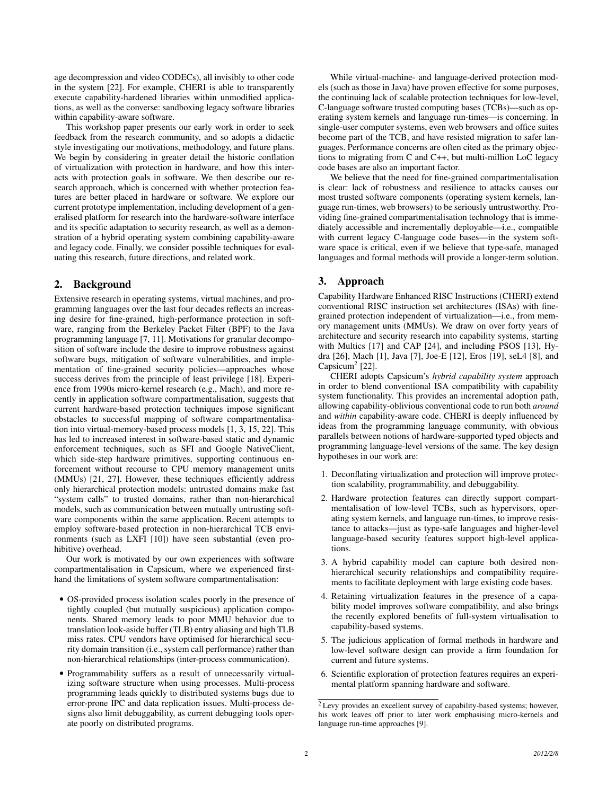age decompression and video CODECs), all invisibly to other code in the system [22]. For example, CHERI is able to transparently execute capability-hardened libraries within unmodified applications, as well as the converse: sandboxing legacy software libraries within capability-aware software.

This workshop paper presents our early work in order to seek feedback from the research community, and so adopts a didactic style investigating our motivations, methodology, and future plans. We begin by considering in greater detail the historic conflation of virtualization with protection in hardware, and how this interacts with protection goals in software. We then describe our research approach, which is concerned with whether protection features are better placed in hardware or software. We explore our current prototype implementation, including development of a generalised platform for research into the hardware-software interface and its specific adaptation to security research, as well as a demonstration of a hybrid operating system combining capability-aware and legacy code. Finally, we consider possible techniques for evaluating this research, future directions, and related work.

# 2. Background

Extensive research in operating systems, virtual machines, and programming languages over the last four decades reflects an increasing desire for fine-grained, high-performance protection in software, ranging from the Berkeley Packet Filter (BPF) to the Java programming language [7, 11]. Motivations for granular decomposition of software include the desire to improve robustness against software bugs, mitigation of software vulnerabilities, and implementation of fine-grained security policies—approaches whose success derives from the principle of least privilege [18]. Experience from 1990s micro-kernel research (e.g., Mach), and more recently in application software compartmentalisation, suggests that current hardware-based protection techniques impose significant obstacles to successful mapping of software compartmentalisation into virtual-memory-based process models [1, 3, 15, 22]. This has led to increased interest in software-based static and dynamic enforcement techniques, such as SFI and Google NativeClient, which side-step hardware primitives, supporting continuous enforcement without recourse to CPU memory management units (MMUs) [21, 27]. However, these techniques efficiently address only hierarchical protection models: untrusted domains make fast "system calls" to trusted domains, rather than non-hierarchical models, such as communication between mutually untrusting software components within the same application. Recent attempts to employ software-based protection in non-hierarchical TCB environments (such as LXFI [10]) have seen substantial (even prohibitive) overhead.

Our work is motivated by our own experiences with software compartmentalisation in Capsicum, where we experienced firsthand the limitations of system software compartmentalisation:

- OS-provided process isolation scales poorly in the presence of tightly coupled (but mutually suspicious) application components. Shared memory leads to poor MMU behavior due to translation look-aside buffer (TLB) entry aliasing and high TLB miss rates. CPU vendors have optimised for hierarchical security domain transition (i.e., system call performance) rather than non-hierarchical relationships (inter-process communication).
- Programmability suffers as a result of unnecessarily virtualizing software structure when using processes. Multi-process programming leads quickly to distributed systems bugs due to error-prone IPC and data replication issues. Multi-process designs also limit debuggability, as current debugging tools operate poorly on distributed programs.

While virtual-machine- and language-derived protection models (such as those in Java) have proven effective for some purposes, the continuing lack of scalable protection techniques for low-level, C-language software trusted computing bases (TCBs)—such as operating system kernels and language run-times—is concerning. In single-user computer systems, even web browsers and office suites become part of the TCB, and have resisted migration to safer languages. Performance concerns are often cited as the primary objections to migrating from C and C++, but multi-million LoC legacy code bases are also an important factor.

We believe that the need for fine-grained compartmentalisation is clear: lack of robustness and resilience to attacks causes our most trusted software components (operating system kernels, language run-times, web browsers) to be seriously untrustworthy. Providing fine-grained compartmentalisation technology that is immediately accessible and incrementally deployable—i.e., compatible with current legacy C-language code bases—in the system software space is critical, even if we believe that type-safe, managed languages and formal methods will provide a longer-term solution.

## 3. Approach

Capability Hardware Enhanced RISC Instructions (CHERI) extend conventional RISC instruction set architectures (ISAs) with finegrained protection independent of virtualization—i.e., from memory management units (MMUs). We draw on over forty years of architecture and security research into capability systems, starting with Multics [17] and CAP [24], and including PSOS [13], Hydra [26], Mach [1], Java [7], Joe-E [12], Eros [19], seL4 [8], and Capsicum<sup>2</sup> [22].

CHERI adopts Capsicum's *hybrid capability system* approach in order to blend conventional ISA compatibility with capability system functionality. This provides an incremental adoption path, allowing capability-oblivious conventional code to run both *around* and *within* capability-aware code. CHERI is deeply influenced by ideas from the programming language community, with obvious parallels between notions of hardware-supported typed objects and programming language-level versions of the same. The key design hypotheses in our work are:

- 1. Deconflating virtualization and protection will improve protection scalability, programmability, and debuggability.
- 2. Hardware protection features can directly support compartmentalisation of low-level TCBs, such as hypervisors, operating system kernels, and language run-times, to improve resistance to attacks—just as type-safe languages and higher-level language-based security features support high-level applications.
- 3. A hybrid capability model can capture both desired nonhierarchical security relationships and compatibility requirements to facilitate deployment with large existing code bases.
- 4. Retaining virtualization features in the presence of a capability model improves software compatibility, and also brings the recently explored benefits of full-system virtualisation to capability-based systems.
- 5. The judicious application of formal methods in hardware and low-level software design can provide a firm foundation for current and future systems.
- 6. Scientific exploration of protection features requires an experimental platform spanning hardware and software.

<sup>2</sup> Levy provides an excellent survey of capability-based systems; however, his work leaves off prior to later work emphasising micro-kernels and language run-time approaches [9].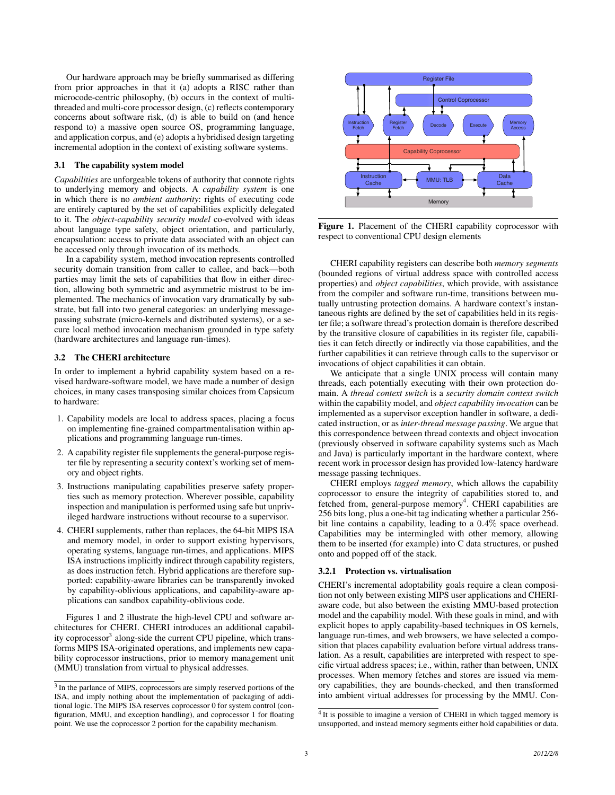Our hardware approach may be briefly summarised as differing from prior approaches in that it (a) adopts a RISC rather than microcode-centric philosophy, (b) occurs in the context of multithreaded and multi-core processor design, (c) reflects contemporary concerns about software risk, (d) is able to build on (and hence respond to) a massive open source OS, programming language, and application corpus, and (e) adopts a hybridised design targeting incremental adoption in the context of existing software systems.

#### 3.1 The capability system model

*Capabilities* are unforgeable tokens of authority that connote rights to underlying memory and objects. A *capability system* is one in which there is no *ambient authority*: rights of executing code are entirely captured by the set of capabilities explicitly delegated to it. The *object-capability security model* co-evolved with ideas about language type safety, object orientation, and particularly, encapsulation: access to private data associated with an object can be accessed only through invocation of its methods.

In a capability system, method invocation represents controlled security domain transition from caller to callee, and back—both parties may limit the sets of capabilities that flow in either direction, allowing both symmetric and asymmetric mistrust to be implemented. The mechanics of invocation vary dramatically by substrate, but fall into two general categories: an underlying messagepassing substrate (micro-kernels and distributed systems), or a secure local method invocation mechanism grounded in type safety (hardware architectures and language run-times).

## 3.2 The CHERI architecture

In order to implement a hybrid capability system based on a revised hardware-software model, we have made a number of design choices, in many cases transposing similar choices from Capsicum to hardware:

- 1. Capability models are local to address spaces, placing a focus on implementing fine-grained compartmentalisation within applications and programming language run-times.
- 2. A capability register file supplements the general-purpose register file by representing a security context's working set of memory and object rights.
- 3. Instructions manipulating capabilities preserve safety properties such as memory protection. Wherever possible, capability inspection and manipulation is performed using safe but unprivileged hardware instructions without recourse to a supervisor.
- 4. CHERI supplements, rather than replaces, the 64-bit MIPS ISA and memory model, in order to support existing hypervisors, operating systems, language run-times, and applications. MIPS ISA instructions implicitly indirect through capability registers, as does instruction fetch. Hybrid applications are therefore supported: capability-aware libraries can be transparently invoked by capability-oblivious applications, and capability-aware applications can sandbox capability-oblivious code.

Figures 1 and 2 illustrate the high-level CPU and software architectures for CHERI. CHERI introduces an additional capability coprocessor<sup>3</sup> along-side the current CPU pipeline, which transforms MIPS ISA-originated operations, and implements new capability coprocessor instructions, prior to memory management unit (MMU) translation from virtual to physical addresses.



Figure 1. Placement of the CHERI capability coprocessor with respect to conventional CPU design elements

CHERI capability registers can describe both *memory segments* (bounded regions of virtual address space with controlled access properties) and *object capabilities*, which provide, with assistance from the compiler and software run-time, transitions between mutually untrusting protection domains. A hardware context's instantaneous rights are defined by the set of capabilities held in its register file; a software thread's protection domain is therefore described by the transitive closure of capabilities in its register file, capabilities it can fetch directly or indirectly via those capabilities, and the further capabilities it can retrieve through calls to the supervisor or invocations of object capabilities it can obtain.

We anticipate that a single UNIX process will contain many threads, each potentially executing with their own protection domain. A *thread context switch* is a *security domain context switch* within the capability model, and *object capability invocation* can be implemented as a supervisor exception handler in software, a dedicated instruction, or as *inter-thread message passing*. We argue that this correspondence between thread contexts and object invocation (previously observed in software capability systems such as Mach and Java) is particularly important in the hardware context, where recent work in processor design has provided low-latency hardware message passing techniques.

CHERI employs *tagged memory*, which allows the capability coprocessor to ensure the integrity of capabilities stored to, and fetched from, general-purpose memory<sup>4</sup>. CHERI capabilities are 256 bits long, plus a one-bit tag indicating whether a particular 256 bit line contains a capability, leading to a 0.4% space overhead. Capabilities may be intermingled with other memory, allowing them to be inserted (for example) into C data structures, or pushed onto and popped off of the stack.

#### 3.2.1 Protection vs. virtualisation

CHERI's incremental adoptability goals require a clean composition not only between existing MIPS user applications and CHERIaware code, but also between the existing MMU-based protection model and the capability model. With these goals in mind, and with explicit hopes to apply capability-based techniques in OS kernels, language run-times, and web browsers, we have selected a composition that places capability evaluation before virtual address translation. As a result, capabilities are interpreted with respect to specific virtual address spaces; i.e., within, rather than between, UNIX processes. When memory fetches and stores are issued via memory capabilities, they are bounds-checked, and then transformed into ambient virtual addresses for processing by the MMU. Con-

<sup>&</sup>lt;sup>3</sup> In the parlance of MIPS, coprocessors are simply reserved portions of the ISA, and imply nothing about the implementation of packaging of additional logic. The MIPS ISA reserves coprocessor 0 for system control (configuration, MMU, and exception handling), and coprocessor 1 for floating point. We use the coprocessor 2 portion for the capability mechanism.

<sup>&</sup>lt;sup>4</sup> It is possible to imagine a version of CHERI in which tagged memory is unsupported, and instead memory segments either hold capabilities or data.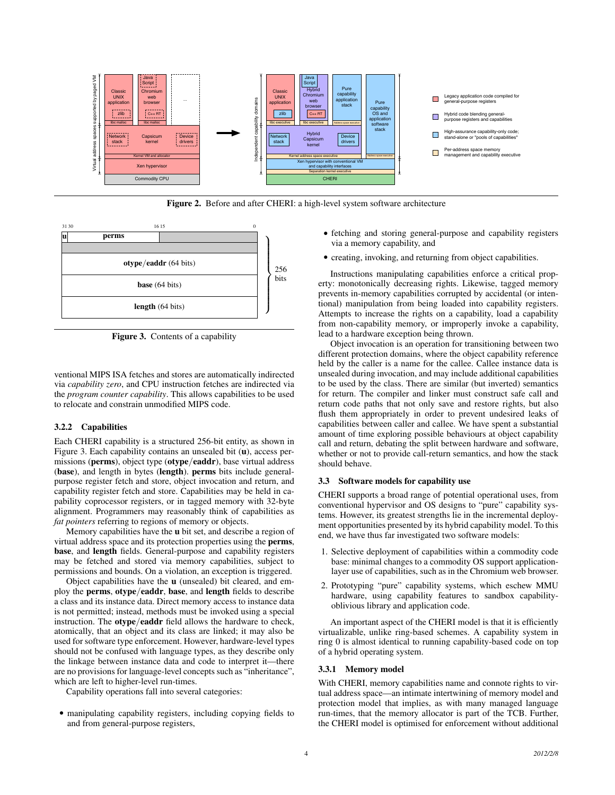

Figure 2. Before and after CHERI: a high-level system software architecture



Figure 3. Contents of a capability

ventional MIPS ISA fetches and stores are automatically indirected via *capability zero*, and CPU instruction fetches are indirected via the *program counter capability*. This allows capabilities to be used to relocate and constrain unmodified MIPS code.

# 3.2.2 Capabilities

Each CHERI capability is a structured 256-bit entity, as shown in Figure 3. Each capability contains an unsealed bit (u), access permissions (perms), object type (otype/eaddr), base virtual address (base), and length in bytes (length). perms bits include generalpurpose register fetch and store, object invocation and return, and capability register fetch and store. Capabilities may be held in capability coprocessor registers, or in tagged memory with 32-byte alignment. Programmers may reasonably think of capabilities as *fat pointers* referring to regions of memory or objects.

Memory capabilities have the u bit set, and describe a region of virtual address space and its protection properties using the perms, base, and length fields. General-purpose and capability registers may be fetched and stored via memory capabilities, subject to permissions and bounds. On a violation, an exception is triggered.

Object capabilities have the u (unsealed) bit cleared, and employ the perms, otype/eaddr, base, and length fields to describe a class and its instance data. Direct memory access to instance data is not permitted; instead, methods must be invoked using a special instruction. The otype/eaddr field allows the hardware to check, atomically, that an object and its class are linked; it may also be used for software type enforcement. However, hardware-level types should not be confused with language types, as they describe only the linkage between instance data and code to interpret it—there are no provisions for language-level concepts such as "inheritance", which are left to higher-level run-times.

Capability operations fall into several categories:

• manipulating capability registers, including copying fields to and from general-purpose registers,

- fetching and storing general-purpose and capability registers via a memory capability, and
- creating, invoking, and returning from object capabilities.

Instructions manipulating capabilities enforce a critical property: monotonically decreasing rights. Likewise, tagged memory prevents in-memory capabilities corrupted by accidental (or intentional) manipulation from being loaded into capability registers. Attempts to increase the rights on a capability, load a capability from non-capability memory, or improperly invoke a capability, lead to a hardware exception being thrown.

Object invocation is an operation for transitioning between two different protection domains, where the object capability reference held by the caller is a name for the callee. Callee instance data is unsealed during invocation, and may include additional capabilities to be used by the class. There are similar (but inverted) semantics for return. The compiler and linker must construct safe call and return code paths that not only save and restore rights, but also flush them appropriately in order to prevent undesired leaks of capabilities between caller and callee. We have spent a substantial amount of time exploring possible behaviours at object capability call and return, debating the split between hardware and software, whether or not to provide call-return semantics, and how the stack should behave.

## 3.3 Software models for capability use

CHERI supports a broad range of potential operational uses, from conventional hypervisor and OS designs to "pure" capability systems. However, its greatest strengths lie in the incremental deployment opportunities presented by its hybrid capability model. To this end, we have thus far investigated two software models:

- 1. Selective deployment of capabilities within a commodity code base: minimal changes to a commodity OS support applicationlayer use of capabilities, such as in the Chromium web browser.
- 2. Prototyping "pure" capability systems, which eschew MMU hardware, using capability features to sandbox capabilityoblivious library and application code.

An important aspect of the CHERI model is that it is efficiently virtualizable, unlike ring-based schemes. A capability system in ring 0 is almost identical to running capability-based code on top of a hybrid operating system.

## 3.3.1 Memory model

With CHERI, memory capabilities name and connote rights to virtual address space—an intimate intertwining of memory model and protection model that implies, as with many managed language run-times, that the memory allocator is part of the TCB. Further, the CHERI model is optimised for enforcement without additional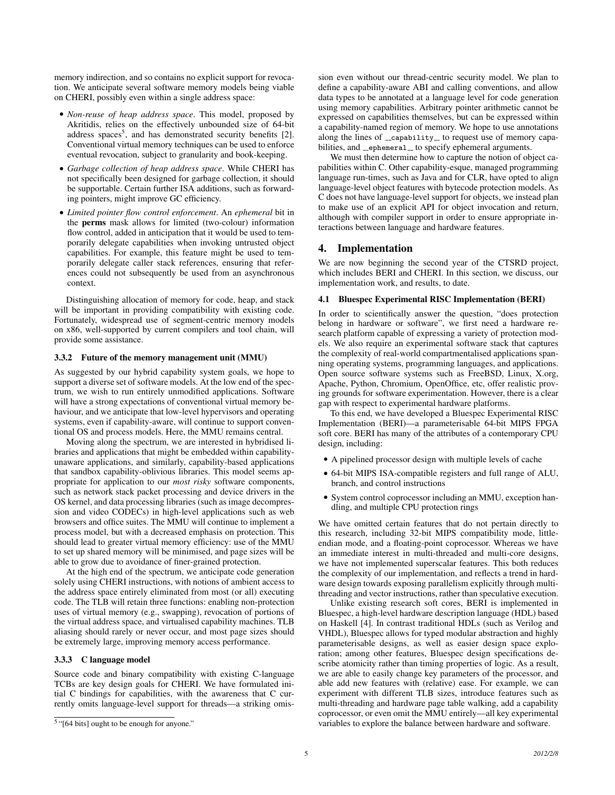memory indirection, and so contains no explicit support for revocation. We anticipate several software memory models being viable on CHERI, possibly even within a single address space:

- *Non-reuse of heap address space*. This model, proposed by Akritidis, relies on the effectively unbounded size of 64-bit address spaces<sup>5</sup>, and has demonstrated security benefits [2]. Conventional virtual memory techniques can be used to enforce eventual revocation, subject to granularity and book-keeping.
- *Garbage collection of heap address space*. While CHERI has not specifically been designed for garbage collection, it should be supportable. Certain further ISA additions, such as forwarding pointers, might improve GC efficiency.
- *Limited pointer flow control enforcement*. An *ephemeral* bit in the perms mask allows for limited (two-colour) information flow control, added in anticipation that it would be used to temporarily delegate capabilities when invoking untrusted object capabilities. For example, this feature might be used to temporarily delegate caller stack references, ensuring that references could not subsequently be used from an asynchronous context.

Distinguishing allocation of memory for code, heap, and stack will be important in providing compatibility with existing code. Fortunately, widespread use of segment-centric memory models on x86, well-supported by current compilers and tool chain, will provide some assistance.

## 3.3.2 Future of the memory management unit (MMU)

As suggested by our hybrid capability system goals, we hope to support a diverse set of software models. At the low end of the spectrum, we wish to run entirely unmodified applications. Software will have a strong expectations of conventional virtual memory behaviour, and we anticipate that low-level hypervisors and operating systems, even if capability-aware, will continue to support conventional OS and process models. Here, the MMU remains central.

Moving along the spectrum, we are interested in hybridised libraries and applications that might be embedded within capabilityunaware applications, and similarly, capability-based applications that sandbox capability-oblivious libraries. This model seems appropriate for application to our *most risky* software components, such as network stack packet processing and device drivers in the OS kernel, and data processing libraries (such as image decompression and video CODECs) in high-level applications such as web browsers and office suites. The MMU will continue to implement a process model, but with a decreased emphasis on protection. This should lead to greater virtual memory efficiency: use of the MMU to set up shared memory will be minimised, and page sizes will be able to grow due to avoidance of finer-grained protection.

At the high end of the spectrum, we anticipate code generation solely using CHERI instructions, with notions of ambient access to the address space entirely eliminated from most (or all) executing code. The TLB will retain three functions: enabling non-protection uses of virtual memory (e.g., swapping), revocation of portions of the virtual address space, and virtualised capability machines. TLB aliasing should rarely or never occur, and most page sizes should be extremely large, improving memory access performance.

#### 3.3.3 C language model

Source code and binary compatibility with existing C-language TCBs are key design goals for CHERI. We have formulated initial C bindings for capabilities, with the awareness that C currently omits language-level support for threads—a striking omission even without our thread-centric security model. We plan to define a capability-aware ABI and calling conventions, and allow data types to be annotated at a language level for code generation using memory capabilities. Arbitrary pointer arithmetic cannot be expressed on capabilities themselves, but can be expressed within a capability-named region of memory. We hope to use annotations along the lines of \_capability\_ to request use of memory capabilities, and \_ephemeral\_to specify ephemeral arguments.

We must then determine how to capture the notion of object capabilities within C. Other capability-esque, managed programming language run-times, such as Java and for CLR, have opted to align language-level object features with bytecode protection models. As C does not have language-level support for objects, we instead plan to make use of an explicit API for object invocation and return, although with compiler support in order to ensure appropriate interactions between language and hardware features.

## 4. Implementation

We are now beginning the second year of the CTSRD project, which includes BERI and CHERI. In this section, we discuss, our implementation work, and results, to date.

#### 4.1 Bluespec Experimental RISC Implementation (BERI)

In order to scientifically answer the question, "does protection belong in hardware or software", we first need a hardware research platform capable of expressing a variety of protection models. We also require an experimental software stack that captures the complexity of real-world compartmentalised applications spanning operating systems, programming languages, and applications. Open source software systems such as FreeBSD, Linux, X.org, Apache, Python, Chromium, OpenOffice, etc, offer realistic proving grounds for software experimentation. However, there is a clear gap with respect to experimental hardware platforms.

To this end, we have developed a Bluespec Experimental RISC Implementation (BERI)—a parameterisable 64-bit MIPS FPGA soft core. BERI has many of the attributes of a contemporary CPU design, including:

- A pipelined processor design with multiple levels of cache
- 64-bit MIPS ISA-compatible registers and full range of ALU, branch, and control instructions
- System control coprocessor including an MMU, exception handling, and multiple CPU protection rings

We have omitted certain features that do not pertain directly to this research, including 32-bit MIPS compatibility mode, littleendian mode, and a floating-point coprocessor. Whereas we have an immediate interest in multi-threaded and multi-core designs, we have not implemented superscalar features. This both reduces the complexity of our implementation, and reflects a trend in hardware design towards exposing parallelism explicitly through multithreading and vector instructions, rather than speculative execution.

Unlike existing research soft cores, BERI is implemented in Bluespec, a high-level hardware description language (HDL) based on Haskell [4]. In contrast traditional HDLs (such as Verilog and VHDL), Bluespec allows for typed modular abstraction and highly parameterisable designs, as well as easier design space exploration; among other features, Bluespec design specifications describe atomicity rather than timing properties of logic. As a result, we are able to easily change key parameters of the processor, and able add new features with (relative) ease. For example, we can experiment with different TLB sizes, introduce features such as multi-threading and hardware page table walking, add a capability coprocessor, or even omit the MMU entirely—all key experimental variables to explore the balance between hardware and software.

<sup>&</sup>lt;sup>5</sup> "[64 bits] ought to be enough for anyone."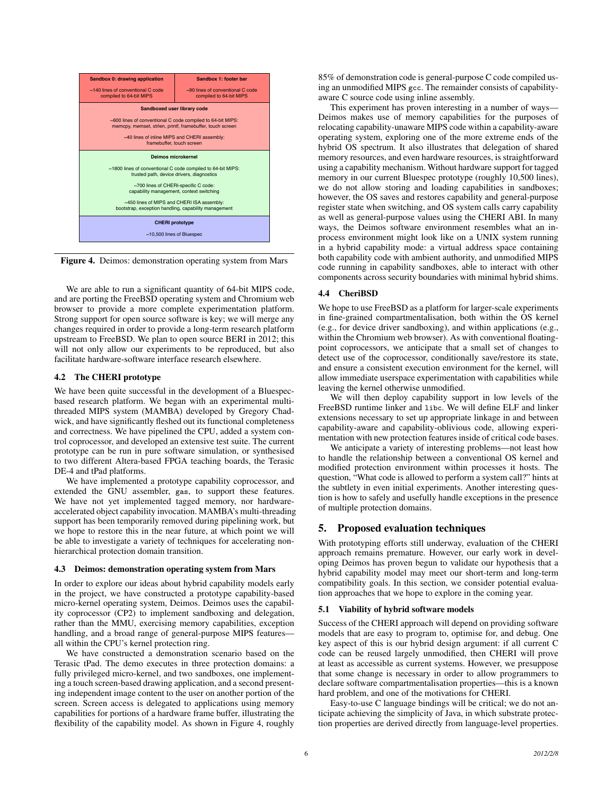

Figure 4. Deimos: demonstration operating system from Mars

We are able to run a significant quantity of 64-bit MIPS code, and are porting the FreeBSD operating system and Chromium web browser to provide a more complete experimentation platform. Strong support for open source software is key; we will merge any changes required in order to provide a long-term research platform upstream to FreeBSD. We plan to open source BERI in 2012; this will not only allow our experiments to be reproduced, but also facilitate hardware-software interface research elsewhere.

#### 4.2 The CHERI prototype

We have been quite successful in the development of a Bluespecbased research platform. We began with an experimental multithreaded MIPS system (MAMBA) developed by Gregory Chadwick, and have significantly fleshed out its functional completeness and correctness. We have pipelined the CPU, added a system control coprocessor, and developed an extensive test suite. The current prototype can be run in pure software simulation, or synthesised to two different Altera-based FPGA teaching boards, the Terasic DE-4 and tPad platforms.

We have implemented a prototype capability coprocessor, and extended the GNU assembler, gas, to support these features. We have not yet implemented tagged memory, nor hardwareaccelerated object capability invocation. MAMBA's multi-threading support has been temporarily removed during pipelining work, but we hope to restore this in the near future, at which point we will be able to investigate a variety of techniques for accelerating nonhierarchical protection domain transition.

#### 4.3 Deimos: demonstration operating system from Mars

In order to explore our ideas about hybrid capability models early in the project, we have constructed a prototype capability-based micro-kernel operating system, Deimos. Deimos uses the capability coprocessor (CP2) to implement sandboxing and delegation, rather than the MMU, exercising memory capabilities, exception handling, and a broad range of general-purpose MIPS features all within the CPU's kernel protection ring.

We have constructed a demonstration scenario based on the Terasic tPad. The demo executes in three protection domains: a fully privileged micro-kernel, and two sandboxes, one implementing a touch screen-based drawing application, and a second presenting independent image content to the user on another portion of the screen. Screen access is delegated to applications using memory capabilities for portions of a hardware frame buffer, illustrating the flexibility of the capability model. As shown in Figure 4, roughly 85% of demonstration code is general-purpose C code compiled using an unmodified MIPS gcc. The remainder consists of capabilityaware C source code using inline assembly.

This experiment has proven interesting in a number of ways— Deimos makes use of memory capabilities for the purposes of relocating capability-unaware MIPS code within a capability-aware operating system, exploring one of the more extreme ends of the hybrid OS spectrum. It also illustrates that delegation of shared memory resources, and even hardware resources, is straightforward using a capability mechanism. Without hardware support for tagged memory in our current Bluespec prototype (roughly 10,500 lines), we do not allow storing and loading capabilities in sandboxes; however, the OS saves and restores capability and general-purpose register state when switching, and OS system calls carry capability as well as general-purpose values using the CHERI ABI. In many ways, the Deimos software environment resembles what an inprocess environment might look like on a UNIX system running in a hybrid capability mode: a virtual address space containing both capability code with ambient authority, and unmodified MIPS code running in capability sandboxes, able to interact with other components across security boundaries with minimal hybrid shims.

#### 4.4 CheriBSD

We hope to use FreeBSD as a platform for larger-scale experiments in fine-grained compartmentalisation, both within the OS kernel (e.g., for device driver sandboxing), and within applications (e.g., within the Chromium web browser). As with conventional floatingpoint coprocessors, we anticipate that a small set of changes to detect use of the coprocessor, conditionally save/restore its state, and ensure a consistent execution environment for the kernel, will allow immediate userspace experimentation with capabilities while leaving the kernel otherwise unmodified.

We will then deploy capability support in low levels of the FreeBSD runtime linker and libc. We will define ELF and linker extensions necessary to set up appropriate linkage in and between capability-aware and capability-oblivious code, allowing experimentation with new protection features inside of critical code bases.

We anticipate a variety of interesting problems—not least how to handle the relationship between a conventional OS kernel and modified protection environment within processes it hosts. The question, "What code is allowed to perform a system call?" hints at the subtlety in even initial experiments. Another interesting question is how to safely and usefully handle exceptions in the presence of multiple protection domains.

## 5. Proposed evaluation techniques

With prototyping efforts still underway, evaluation of the CHERI approach remains premature. However, our early work in developing Deimos has proven begun to validate our hypothesis that a hybrid capability model may meet our short-term and long-term compatibility goals. In this section, we consider potential evaluation approaches that we hope to explore in the coming year.

#### 5.1 Viability of hybrid software models

Success of the CHERI approach will depend on providing software models that are easy to program to, optimise for, and debug. One key aspect of this is our hybrid design argument: if all current C code can be reused largely unmodified, then CHERI will prove at least as accessible as current systems. However, we presuppose that some change is necessary in order to allow programmers to declare software compartmentalisation properties—this is a known hard problem, and one of the motivations for CHERI.

Easy-to-use C language bindings will be critical; we do not anticipate achieving the simplicity of Java, in which substrate protection properties are derived directly from language-level properties.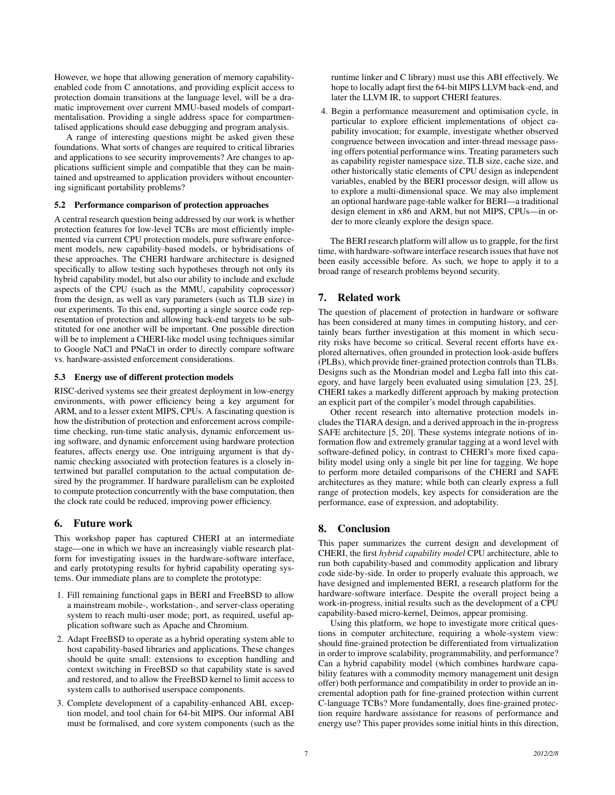However, we hope that allowing generation of memory capabilityenabled code from C annotations, and providing explicit access to protection domain transitions at the language level, will be a dramatic improvement over current MMU-based models of compartmentalisation. Providing a single address space for compartmentalised applications should ease debugging and program analysis.

A range of interesting questions might be asked given these foundations. What sorts of changes are required to critical libraries and applications to see security improvements? Are changes to applications sufficient simple and compatible that they can be maintained and upstreamed to application providers without encountering significant portability problems?

#### 5.2 Performance comparison of protection approaches

A central research question being addressed by our work is whether protection features for low-level TCBs are most efficiently implemented via current CPU protection models, pure software enforcement models, new capability-based models, or hybridisations of these approaches. The CHERI hardware architecture is designed specifically to allow testing such hypotheses through not only its hybrid capability model, but also our ability to include and exclude aspects of the CPU (such as the MMU, capability coprocessor) from the design, as well as vary parameters (such as TLB size) in our experiments. To this end, supporting a single source code representation of protection and allowing back-end targets to be substituted for one another will be important. One possible direction will be to implement a CHERI-like model using techniques similar to Google NaCl and PNaCl in order to directly compare software vs. hardware-assisted enforcement considerations.

#### 5.3 Energy use of different protection models

RISC-derived systems see their greatest deployment in low-energy environments, with power efficiency being a key argument for ARM, and to a lesser extent MIPS, CPUs. A fascinating question is how the distribution of protection and enforcement across compiletime checking, run-time static analysis, dynamic enforcement using software, and dynamic enforcement using hardware protection features, affects energy use. One intriguing argument is that dynamic checking associated with protection features is a closely intertwined but parallel computation to the actual computation desired by the programmer. If hardware parallelism can be exploited to compute protection concurrently with the base computation, then the clock rate could be reduced, improving power efficiency.

## 6. Future work

This workshop paper has captured CHERI at an intermediate stage—one in which we have an increasingly viable research platform for investigating issues in the hardware-software interface, and early prototyping results for hybrid capability operating systems. Our immediate plans are to complete the prototype:

- 1. Fill remaining functional gaps in BERI and FreeBSD to allow a mainstream mobile-, workstation-, and server-class operating system to reach multi-user mode; port, as required, useful application software such as Apache and Chromium.
- 2. Adapt FreeBSD to operate as a hybrid operating system able to host capability-based libraries and applications. These changes should be quite small: extensions to exception handling and context switching in FreeBSD so that capability state is saved and restored, and to allow the FreeBSD kernel to limit access to system calls to authorised userspace components.
- 3. Complete development of a capability-enhanced ABI, exception model, and tool chain for 64-bit MIPS. Our informal ABI must be formalised, and core system components (such as the

runtime linker and C library) must use this ABI effectively. We hope to locally adapt first the 64-bit MIPS LLVM back-end, and later the LLVM IR, to support CHERI features.

4. Begin a performance measurement and optimisation cycle, in particular to explore efficient implementations of object capability invocation; for example, investigate whether observed congruence between invocation and inter-thread message passing offers potential performance wins. Treating parameters such as capability register namespace size, TLB size, cache size, and other historically static elements of CPU design as independent variables, enabled by the BERI processor design, will allow us to explore a multi-dimensional space. We may also implement an optional hardware page-table walker for BERI—a traditional design element in x86 and ARM, but not MIPS, CPUs—in order to more cleanly explore the design space.

The BERI research platform will allow us to grapple, for the first time, with hardware-software interface research issues that have not been easily accessible before. As such, we hope to apply it to a broad range of research problems beyond security.

# 7. Related work

The question of placement of protection in hardware or software has been considered at many times in computing history, and certainly bears further investigation at this moment in which security risks have become so critical. Several recent efforts have explored alternatives, often grounded in protection look-aside buffers (PLBs), which provide finer-grained protection controls than TLBs. Designs such as the Mondrian model and Legba fall into this category, and have largely been evaluated using simulation [23, 25]. CHERI takes a markedly different approach by making protection an explicit part of the compiler's model through capabilities.

Other recent research into alternative protection models includes the TIARA design, and a derived approach in the in-progress SAFE architecture [5, 20]. These systems integrate notions of information flow and extremely granular tagging at a word level with software-defined policy, in contrast to CHERI's more fixed capability model using only a single bit per line for tagging. We hope to perform more detailed comparisons of the CHERI and SAFE architectures as they mature; while both can clearly express a full range of protection models, key aspects for consideration are the performance, ease of expression, and adoptability.

# 8. Conclusion

This paper summarizes the current design and development of CHERI, the first *hybrid capability model* CPU architecture, able to run both capability-based and commodity application and library code side-by-side. In order to properly evaluate this approach, we have designed and implemented BERI, a research platform for the hardware-software interface. Despite the overall project being a work-in-progress, initial results such as the development of a CPU capability-based micro-kernel, Deimos, appear promising.

Using this platform, we hope to investigate more critical questions in computer architecture, requiring a whole-system view: should fine-grained protection be differentiated from virtualization in order to improve scalability, programmability, and performance? Can a hybrid capability model (which combines hardware capability features with a commodity memory management unit design offer) both performance and compatibility in order to provide an incremental adoption path for fine-grained protection within current C-language TCBs? More fundamentally, does fine-grained protection require hardware assistance for reasons of performance and energy use? This paper provides some initial hints in this direction,